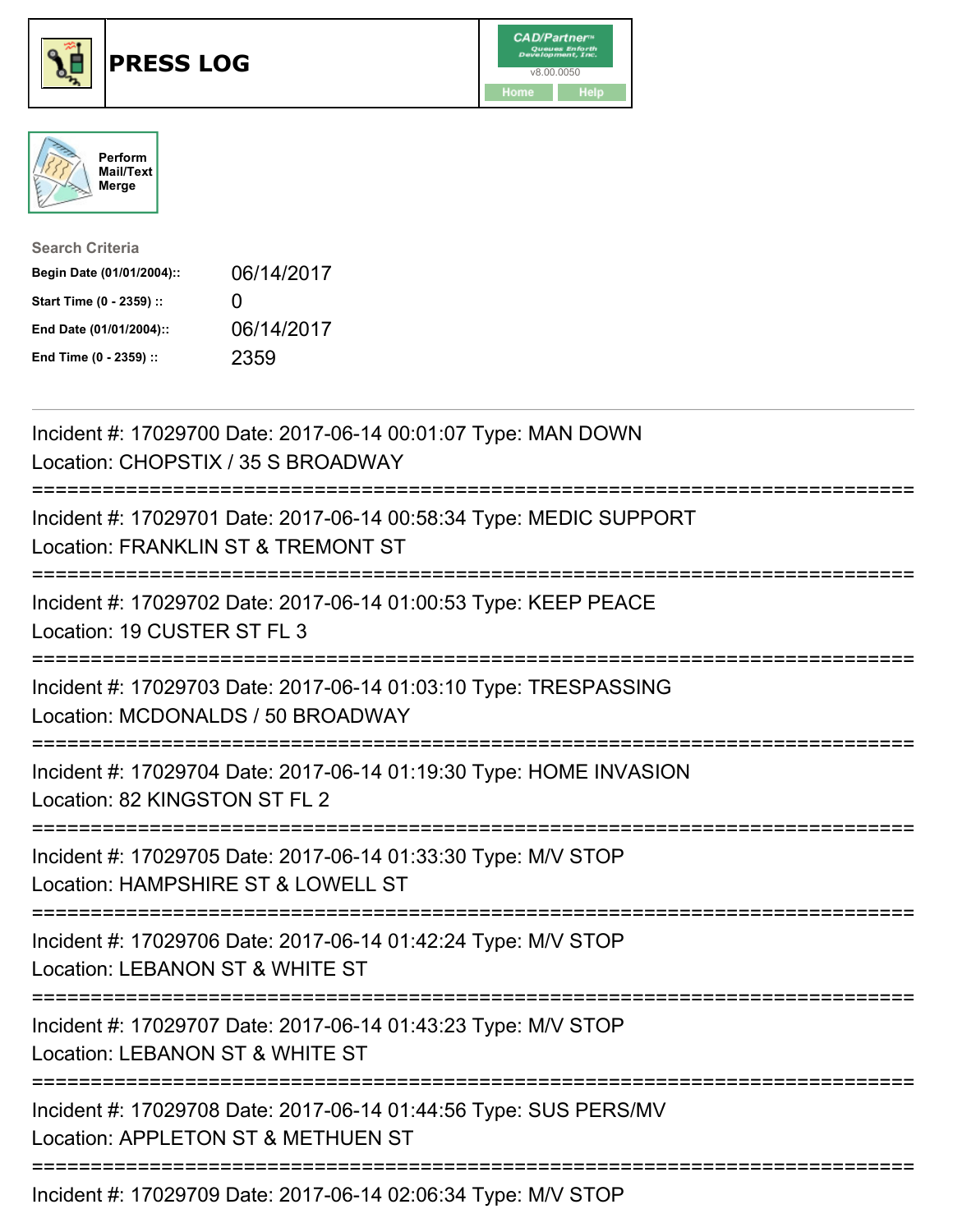





| <b>Search Criteria</b>    |              |
|---------------------------|--------------|
| Begin Date (01/01/2004):: | 06/14/2017   |
| Start Time (0 - 2359) ::  | $\mathbf{I}$ |
| End Date (01/01/2004)::   | 06/14/2017   |
| End Time (0 - 2359) ::    | 2359         |

| Incident #: 17029700 Date: 2017-06-14 00:01:07 Type: MAN DOWN<br>Location: CHOPSTIX / 35 S BROADWAY                                                          |
|--------------------------------------------------------------------------------------------------------------------------------------------------------------|
| Incident #: 17029701 Date: 2017-06-14 00:58:34 Type: MEDIC SUPPORT<br>Location: FRANKLIN ST & TREMONT ST                                                     |
| Incident #: 17029702 Date: 2017-06-14 01:00:53 Type: KEEP PEACE<br>Location: 19 CUSTER ST FL 3<br>-------------                                              |
| Incident #: 17029703 Date: 2017-06-14 01:03:10 Type: TRESPASSING<br>Location: MCDONALDS / 50 BROADWAY<br>:=======================                            |
| Incident #: 17029704 Date: 2017-06-14 01:19:30 Type: HOME INVASION<br>Location: 82 KINGSTON ST FL 2                                                          |
| Incident #: 17029705 Date: 2017-06-14 01:33:30 Type: M/V STOP<br>Location: HAMPSHIRE ST & LOWELL ST<br>==========================                            |
| Incident #: 17029706 Date: 2017-06-14 01:42:24 Type: M/V STOP<br>Location: LEBANON ST & WHITE ST                                                             |
| =========================<br>Incident #: 17029707 Date: 2017-06-14 01:43:23 Type: M/V STOP<br>Location: LEBANON ST & WHITE ST<br>;========================== |
| Incident #: 17029708 Date: 2017-06-14 01:44:56 Type: SUS PERS/MV<br>Location: APPLETON ST & METHUEN ST                                                       |
| Incident #: 17029709 Date: 2017-06-14 02:06:34 Type: M/V STOP                                                                                                |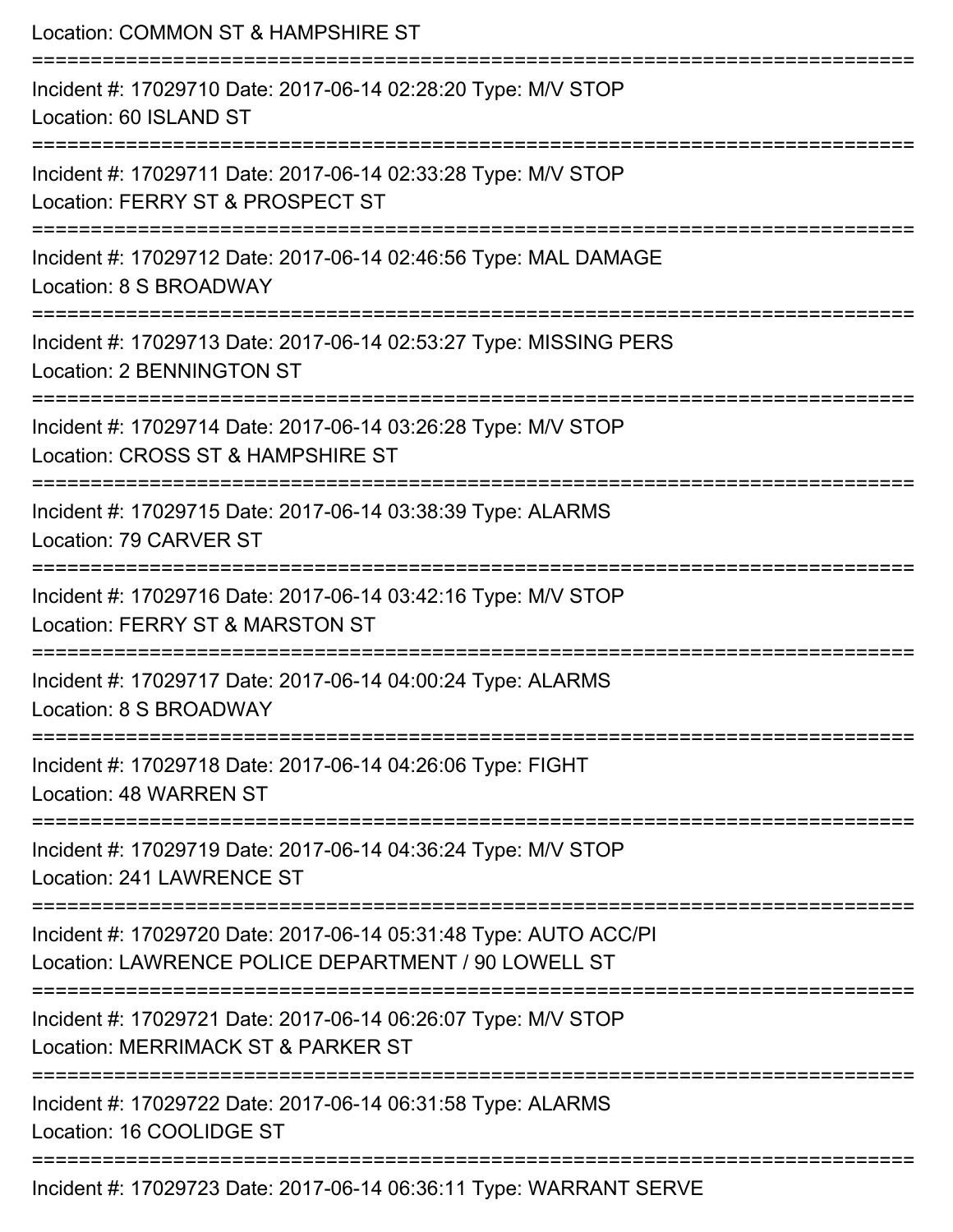| Location: COMMON ST & HAMPSHIRE ST<br>======================                                                                 |
|------------------------------------------------------------------------------------------------------------------------------|
| Incident #: 17029710 Date: 2017-06-14 02:28:20 Type: M/V STOP<br>Location: 60 ISLAND ST<br>================================= |
| Incident #: 17029711 Date: 2017-06-14 02:33:28 Type: M/V STOP<br>Location: FERRY ST & PROSPECT ST                            |
| Incident #: 17029712 Date: 2017-06-14 02:46:56 Type: MAL DAMAGE<br>Location: 8 S BROADWAY                                    |
| Incident #: 17029713 Date: 2017-06-14 02:53:27 Type: MISSING PERS<br><b>Location: 2 BENNINGTON ST</b>                        |
| Incident #: 17029714 Date: 2017-06-14 03:26:28 Type: M/V STOP<br>Location: CROSS ST & HAMPSHIRE ST                           |
| ======================<br>Incident #: 17029715 Date: 2017-06-14 03:38:39 Type: ALARMS<br>Location: 79 CARVER ST              |
| Incident #: 17029716 Date: 2017-06-14 03:42:16 Type: M/V STOP<br>Location: FERRY ST & MARSTON ST                             |
| Incident #: 17029717 Date: 2017-06-14 04:00:24 Type: ALARMS<br>Location: 8 S BROADWAY                                        |
| Incident #: 17029718 Date: 2017-06-14 04:26:06 Type: FIGHT<br>Location: 48 WARREN ST                                         |
| Incident #: 17029719 Date: 2017-06-14 04:36:24 Type: M/V STOP<br>Location: 241 LAWRENCE ST                                   |
| Incident #: 17029720 Date: 2017-06-14 05:31:48 Type: AUTO ACC/PI<br>Location: LAWRENCE POLICE DEPARTMENT / 90 LOWELL ST      |
| Incident #: 17029721 Date: 2017-06-14 06:26:07 Type: M/V STOP<br>Location: MERRIMACK ST & PARKER ST                          |
| Incident #: 17029722 Date: 2017-06-14 06:31:58 Type: ALARMS<br>Location: 16 COOLIDGE ST                                      |
| Incident #: 17029723 Date: 2017-06-14 06:36:11 Type: WARRANT SERVE                                                           |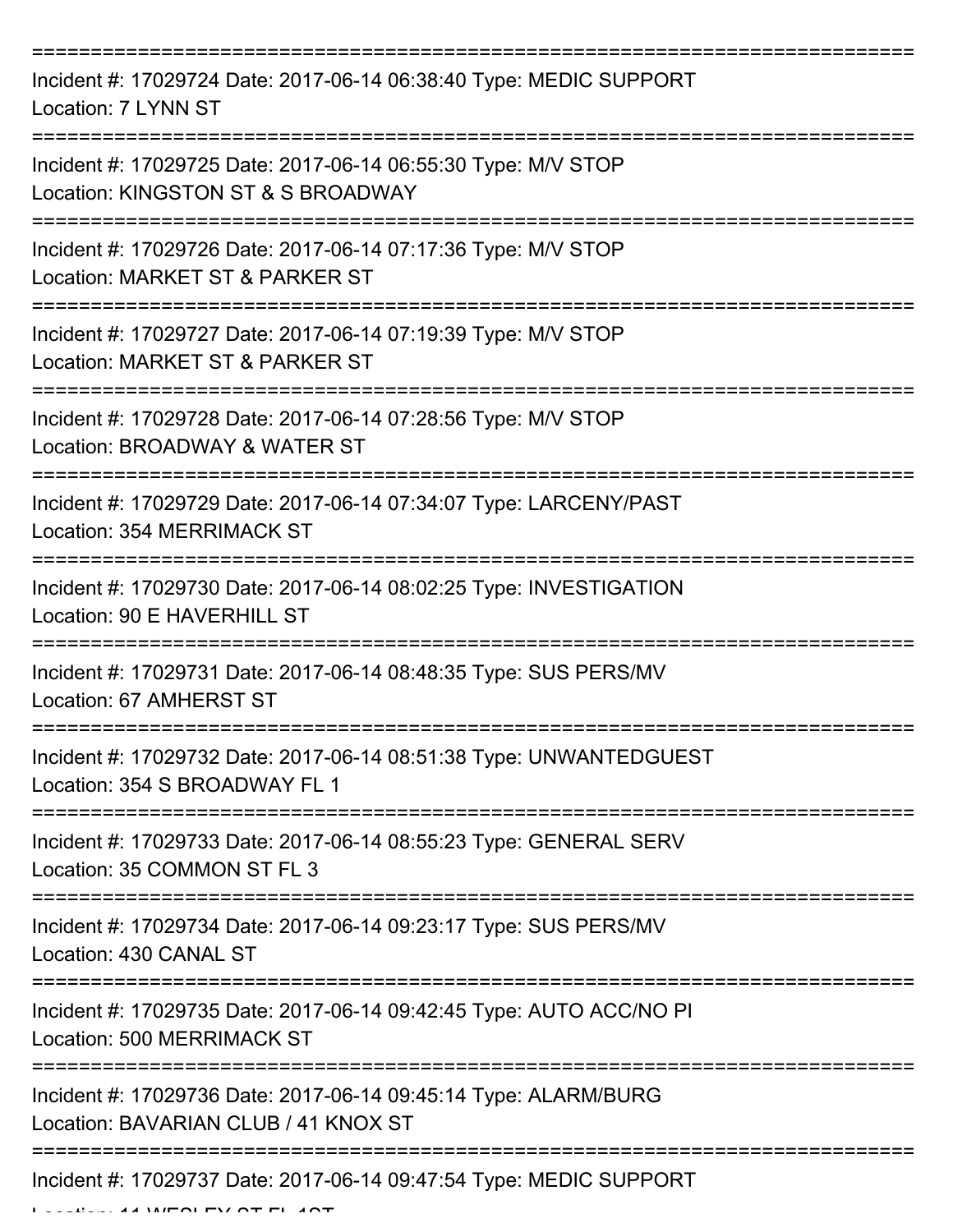| Incident #: 17029724 Date: 2017-06-14 06:38:40 Type: MEDIC SUPPORT<br>Location: 7 LYNN ST               |
|---------------------------------------------------------------------------------------------------------|
| Incident #: 17029725 Date: 2017-06-14 06:55:30 Type: M/V STOP<br>Location: KINGSTON ST & S BROADWAY     |
| Incident #: 17029726 Date: 2017-06-14 07:17:36 Type: M/V STOP<br>Location: MARKET ST & PARKER ST        |
| Incident #: 17029727 Date: 2017-06-14 07:19:39 Type: M/V STOP<br>Location: MARKET ST & PARKER ST        |
| Incident #: 17029728 Date: 2017-06-14 07:28:56 Type: M/V STOP<br>Location: BROADWAY & WATER ST          |
| Incident #: 17029729 Date: 2017-06-14 07:34:07 Type: LARCENY/PAST<br>Location: 354 MERRIMACK ST         |
| Incident #: 17029730 Date: 2017-06-14 08:02:25 Type: INVESTIGATION<br>Location: 90 E HAVERHILL ST       |
| Incident #: 17029731 Date: 2017-06-14 08:48:35 Type: SUS PERS/MV<br>Location: 67 AMHERST ST             |
| Incident #: 17029732 Date: 2017-06-14 08:51:38 Type: UNWANTEDGUEST<br>Location: 354 S BROADWAY FL 1     |
| Incident #: 17029733 Date: 2017-06-14 08:55:23 Type: GENERAL SERV<br>Location: 35 COMMON ST FL 3        |
| Incident #: 17029734 Date: 2017-06-14 09:23:17 Type: SUS PERS/MV<br>Location: 430 CANAL ST              |
| Incident #: 17029735 Date: 2017-06-14 09:42:45 Type: AUTO ACC/NO PI<br>Location: 500 MERRIMACK ST       |
| Incident #: 17029736 Date: 2017-06-14 09:45:14 Type: ALARM/BURG<br>Location: BAVARIAN CLUB / 41 KNOX ST |
| Incident #: 17029737 Date: 2017-06-14 09:47:54 Type: MEDIC SUPPORT                                      |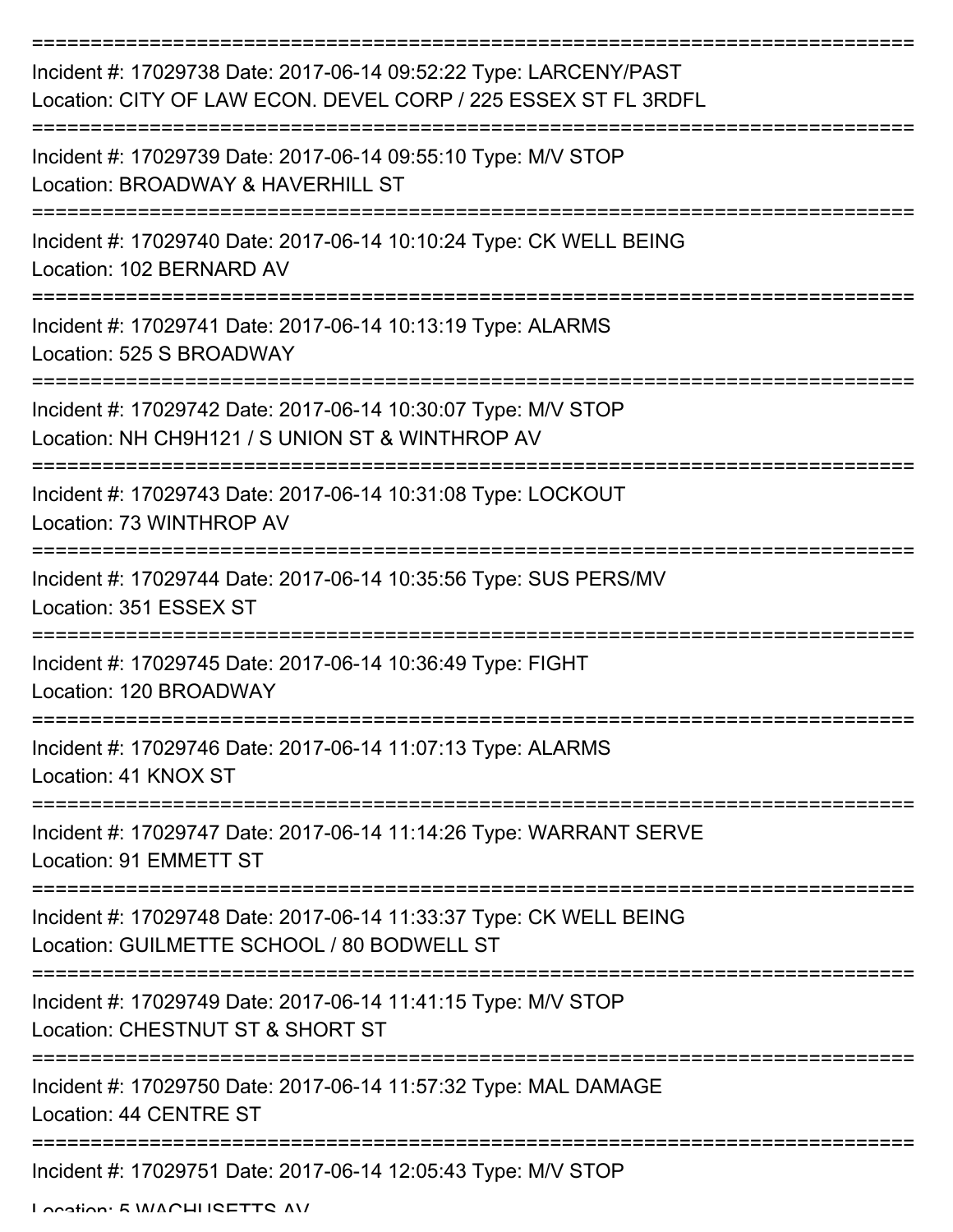| Incident #: 17029738 Date: 2017-06-14 09:52:22 Type: LARCENY/PAST<br>Location: CITY OF LAW ECON. DEVEL CORP / 225 ESSEX ST FL 3RDFL |
|-------------------------------------------------------------------------------------------------------------------------------------|
| Incident #: 17029739 Date: 2017-06-14 09:55:10 Type: M/V STOP<br>Location: BROADWAY & HAVERHILL ST                                  |
| Incident #: 17029740 Date: 2017-06-14 10:10:24 Type: CK WELL BEING<br>Location: 102 BERNARD AV                                      |
| Incident #: 17029741 Date: 2017-06-14 10:13:19 Type: ALARMS<br>Location: 525 S BROADWAY                                             |
| Incident #: 17029742 Date: 2017-06-14 10:30:07 Type: M/V STOP<br>Location: NH CH9H121 / S UNION ST & WINTHROP AV                    |
| Incident #: 17029743 Date: 2017-06-14 10:31:08 Type: LOCKOUT<br>Location: 73 WINTHROP AV                                            |
| Incident #: 17029744 Date: 2017-06-14 10:35:56 Type: SUS PERS/MV<br>Location: 351 ESSEX ST                                          |
| Incident #: 17029745 Date: 2017-06-14 10:36:49 Type: FIGHT<br>Location: 120 BROADWAY                                                |
| Incident #: 17029746 Date: 2017-06-14 11:07:13 Type: ALARMS<br>Location: 41 KNOX ST                                                 |
| Incident #: 17029747 Date: 2017-06-14 11:14:26 Type: WARRANT SERVE<br>Location: 91 EMMETT ST                                        |
| Incident #: 17029748 Date: 2017-06-14 11:33:37 Type: CK WELL BEING<br>Location: GUILMETTE SCHOOL / 80 BODWELL ST                    |
| Incident #: 17029749 Date: 2017-06-14 11:41:15 Type: M/V STOP<br>Location: CHESTNUT ST & SHORT ST                                   |
| Incident #: 17029750 Date: 2017-06-14 11:57:32 Type: MAL DAMAGE<br>Location: 44 CENTRE ST                                           |
| Incident #: 17029751 Date: 2017-06-14 12:05:43 Type: M/V STOP                                                                       |

Location: E WACHI ISETTS AV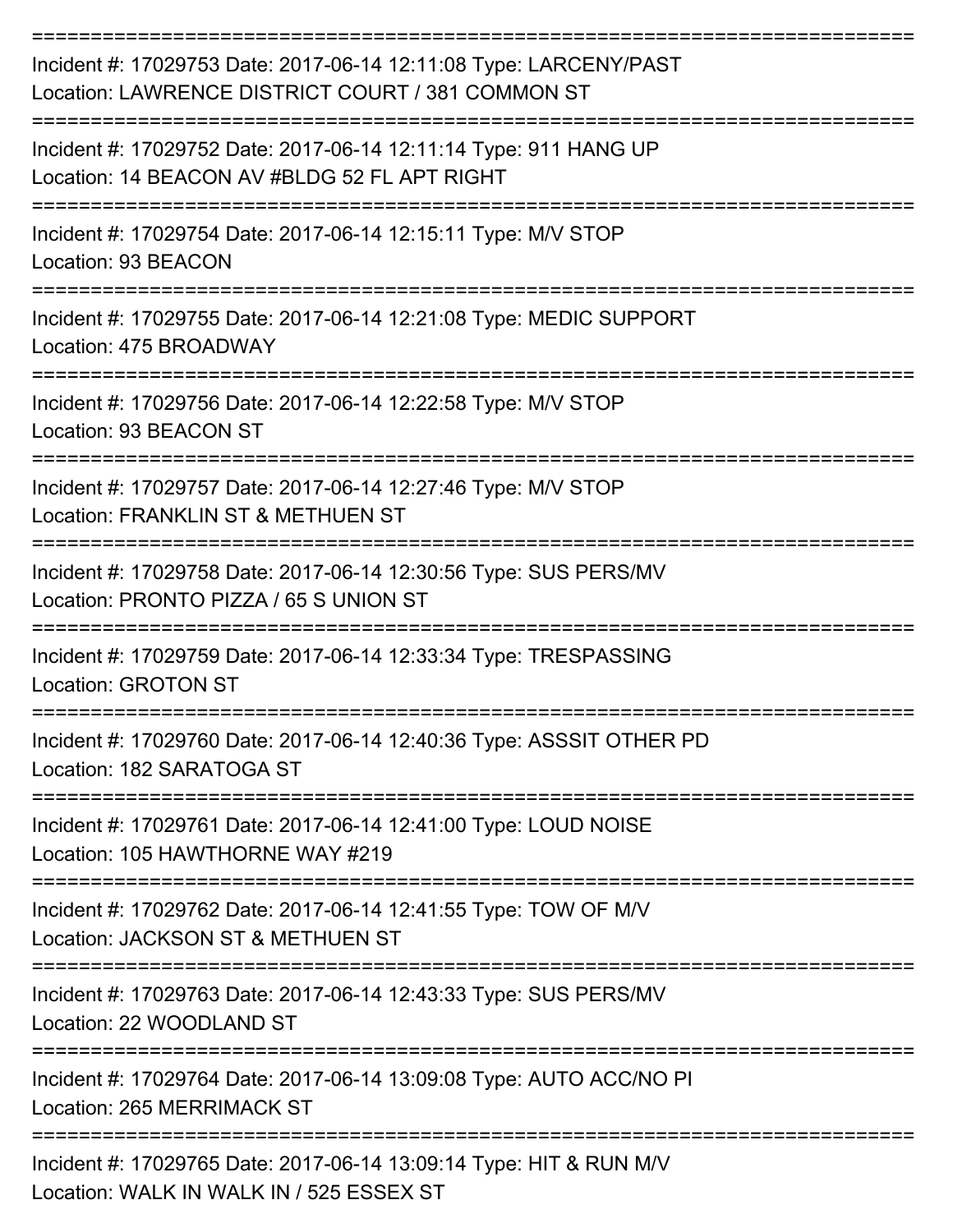| Incident #: 17029753 Date: 2017-06-14 12:11:08 Type: LARCENY/PAST<br>Location: LAWRENCE DISTRICT COURT / 381 COMMON ST |
|------------------------------------------------------------------------------------------------------------------------|
| Incident #: 17029752 Date: 2017-06-14 12:11:14 Type: 911 HANG UP<br>Location: 14 BEACON AV #BLDG 52 FL APT RIGHT       |
| Incident #: 17029754 Date: 2017-06-14 12:15:11 Type: M/V STOP<br>Location: 93 BEACON                                   |
| Incident #: 17029755 Date: 2017-06-14 12:21:08 Type: MEDIC SUPPORT<br>Location: 475 BROADWAY                           |
| Incident #: 17029756 Date: 2017-06-14 12:22:58 Type: M/V STOP<br>Location: 93 BEACON ST<br>==========                  |
| Incident #: 17029757 Date: 2017-06-14 12:27:46 Type: M/V STOP<br>Location: FRANKLIN ST & METHUEN ST                    |
| Incident #: 17029758 Date: 2017-06-14 12:30:56 Type: SUS PERS/MV<br>Location: PRONTO PIZZA / 65 S UNION ST             |
| Incident #: 17029759 Date: 2017-06-14 12:33:34 Type: TRESPASSING<br>Location: GROTON ST                                |
| Incident #: 17029760 Date: 2017-06-14 12:40:36 Type: ASSSIT OTHER PD<br>Location: 182 SARATOGA ST                      |
| Incident #: 17029761 Date: 2017-06-14 12:41:00 Type: LOUD NOISE<br>Location: 105 HAWTHORNE WAY #219                    |
| Incident #: 17029762 Date: 2017-06-14 12:41:55 Type: TOW OF M/V<br>Location: JACKSON ST & METHUEN ST                   |
| Incident #: 17029763 Date: 2017-06-14 12:43:33 Type: SUS PERS/MV<br>Location: 22 WOODLAND ST                           |
| Incident #: 17029764 Date: 2017-06-14 13:09:08 Type: AUTO ACC/NO PI<br><b>Location: 265 MERRIMACK ST</b>               |
| Incident #: 17029765 Date: 2017-06-14 13:09:14 Type: HIT & RUN M/V<br>Location: WALK IN WALK IN / 525 ESSEX ST         |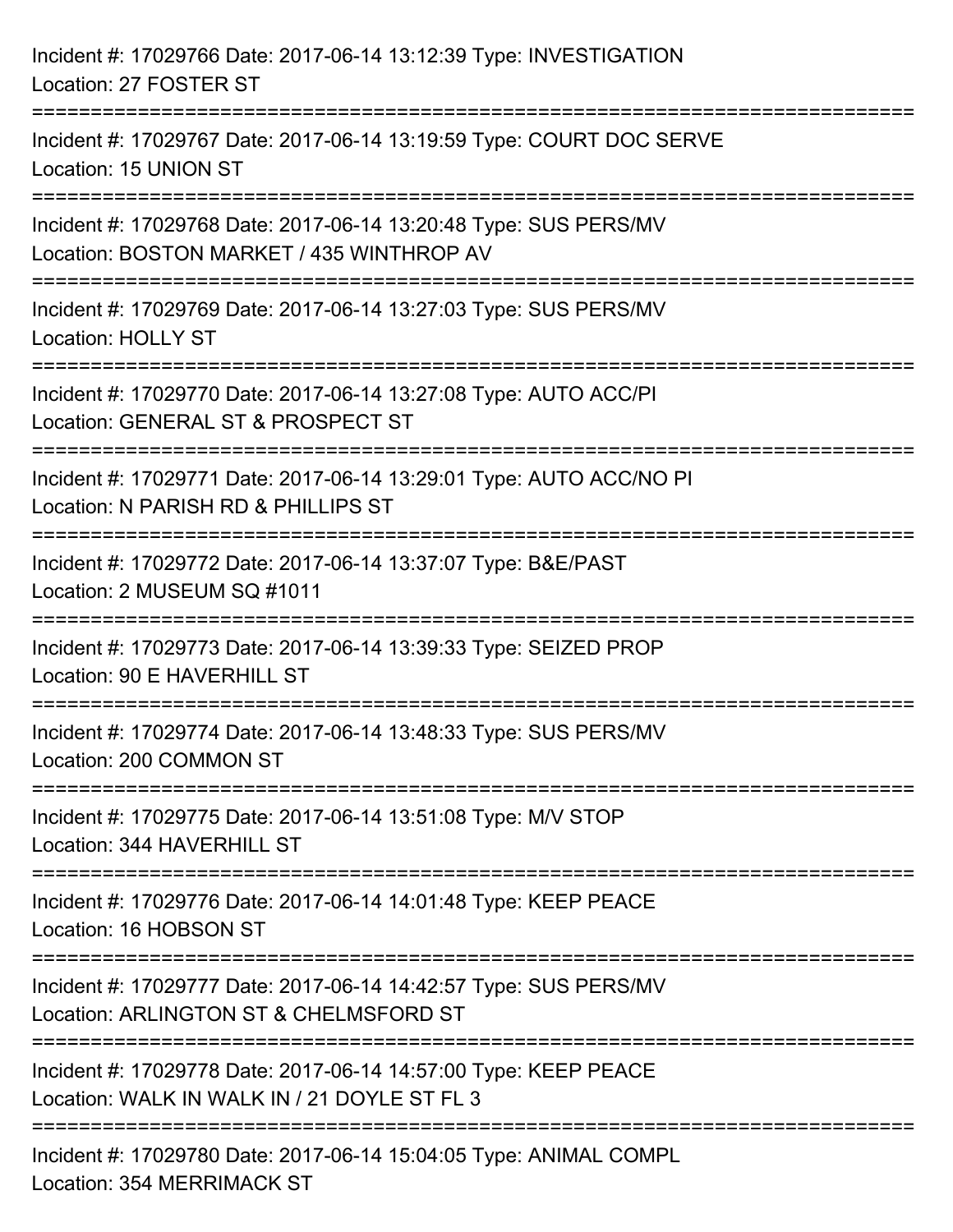| Incident #: 17029766 Date: 2017-06-14 13:12:39 Type: INVESTIGATION<br>Location: 27 FOSTER ST                    |
|-----------------------------------------------------------------------------------------------------------------|
| Incident #: 17029767 Date: 2017-06-14 13:19:59 Type: COURT DOC SERVE<br>Location: 15 UNION ST                   |
| Incident #: 17029768 Date: 2017-06-14 13:20:48 Type: SUS PERS/MV<br>Location: BOSTON MARKET / 435 WINTHROP AV   |
| Incident #: 17029769 Date: 2017-06-14 13:27:03 Type: SUS PERS/MV<br><b>Location: HOLLY ST</b>                   |
| Incident #: 17029770 Date: 2017-06-14 13:27:08 Type: AUTO ACC/PI<br>Location: GENERAL ST & PROSPECT ST          |
| Incident #: 17029771 Date: 2017-06-14 13:29:01 Type: AUTO ACC/NO PI<br>Location: N PARISH RD & PHILLIPS ST      |
| Incident #: 17029772 Date: 2017-06-14 13:37:07 Type: B&E/PAST<br>Location: 2 MUSEUM SQ #1011                    |
| Incident #: 17029773 Date: 2017-06-14 13:39:33 Type: SEIZED PROP<br>Location: 90 E HAVERHILL ST                 |
| Incident #: 17029774 Date: 2017-06-14 13:48:33 Type: SUS PERS/MV<br>Location: 200 COMMON ST                     |
| Incident #: 17029775 Date: 2017-06-14 13:51:08 Type: M/V STOP<br>Location: 344 HAVERHILL ST                     |
| Incident #: 17029776 Date: 2017-06-14 14:01:48 Type: KEEP PEACE<br>Location: 16 HOBSON ST                       |
| Incident #: 17029777 Date: 2017-06-14 14:42:57 Type: SUS PERS/MV<br>Location: ARLINGTON ST & CHELMSFORD ST      |
| Incident #: 17029778 Date: 2017-06-14 14:57:00 Type: KEEP PEACE<br>Location: WALK IN WALK IN / 21 DOYLE ST FL 3 |
| Incident #: 17029780 Date: 2017-06-14 15:04:05 Type: ANIMAL COMPL<br><b>Location: 354 MERRIMACK ST</b>          |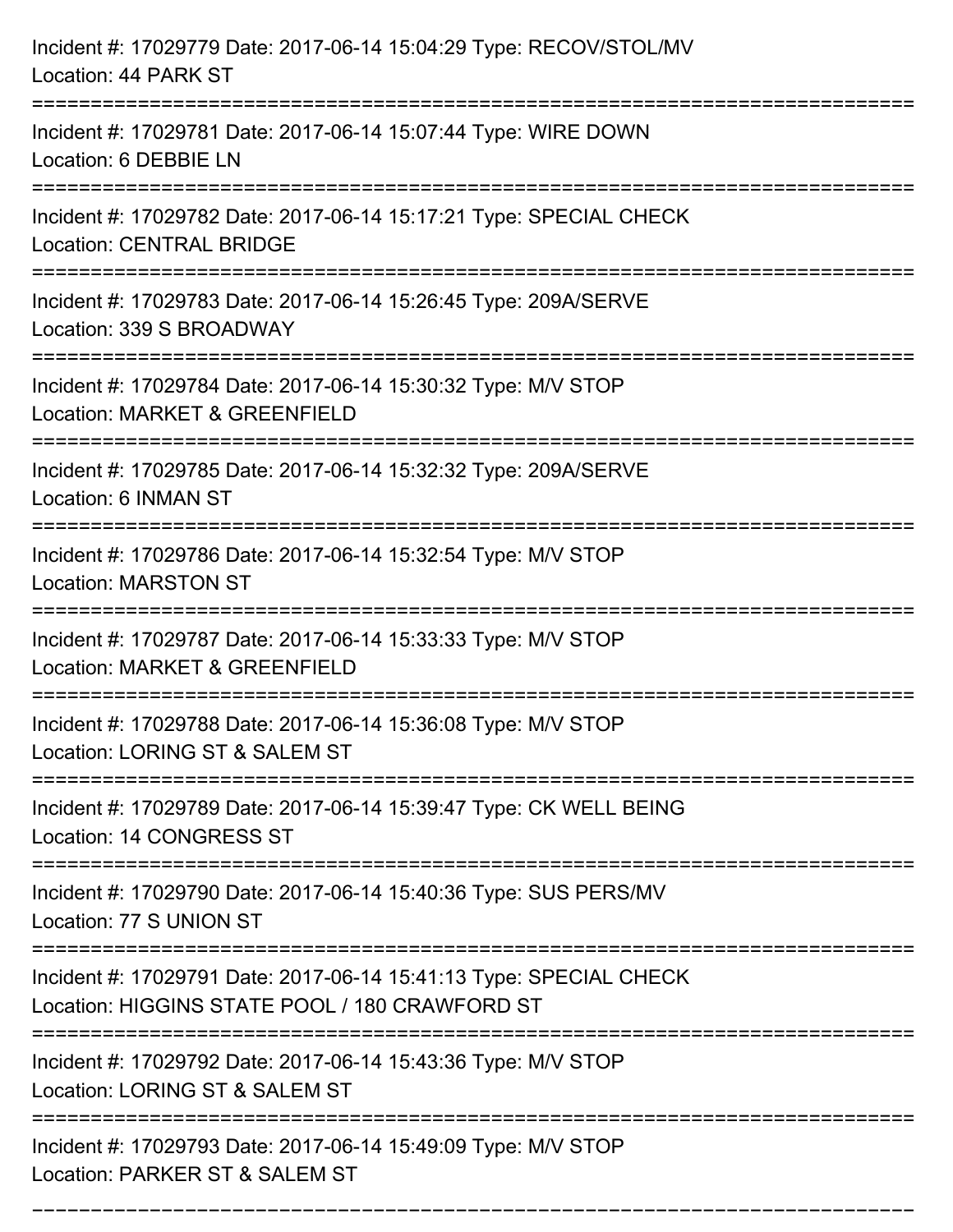| Incident #: 17029779 Date: 2017-06-14 15:04:29 Type: RECOV/STOL/MV<br>Location: 44 PARK ST                                           |
|--------------------------------------------------------------------------------------------------------------------------------------|
| Incident #: 17029781 Date: 2017-06-14 15:07:44 Type: WIRE DOWN<br>Location: 6 DEBBIE LN                                              |
| Incident #: 17029782 Date: 2017-06-14 15:17:21 Type: SPECIAL CHECK<br><b>Location: CENTRAL BRIDGE</b>                                |
| Incident #: 17029783 Date: 2017-06-14 15:26:45 Type: 209A/SERVE<br>Location: 339 S BROADWAY                                          |
| Incident #: 17029784 Date: 2017-06-14 15:30:32 Type: M/V STOP<br>Location: MARKET & GREENFIELD                                       |
| Incident #: 17029785 Date: 2017-06-14 15:32:32 Type: 209A/SERVE<br>Location: 6 INMAN ST                                              |
| :===================================<br>Incident #: 17029786 Date: 2017-06-14 15:32:54 Type: M/V STOP<br><b>Location: MARSTON ST</b> |
| Incident #: 17029787 Date: 2017-06-14 15:33:33 Type: M/V STOP<br>Location: MARKET & GREENFIELD                                       |
| Incident #: 17029788 Date: 2017-06-14 15:36:08 Type: M/V STOP<br>Location: LORING ST & SALEM ST                                      |
| Incident #: 17029789 Date: 2017-06-14 15:39:47 Type: CK WELL BEING<br>Location: 14 CONGRESS ST                                       |
| Incident #: 17029790 Date: 2017-06-14 15:40:36 Type: SUS PERS/MV<br>Location: 77 S UNION ST                                          |
| Incident #: 17029791 Date: 2017-06-14 15:41:13 Type: SPECIAL CHECK<br>Location: HIGGINS STATE POOL / 180 CRAWFORD ST                 |
| Incident #: 17029792 Date: 2017-06-14 15:43:36 Type: M/V STOP<br>Location: LORING ST & SALEM ST                                      |
| Incident #: 17029793 Date: 2017-06-14 15:49:09 Type: M/V STOP<br>Location: PARKER ST & SALEM ST                                      |

===========================================================================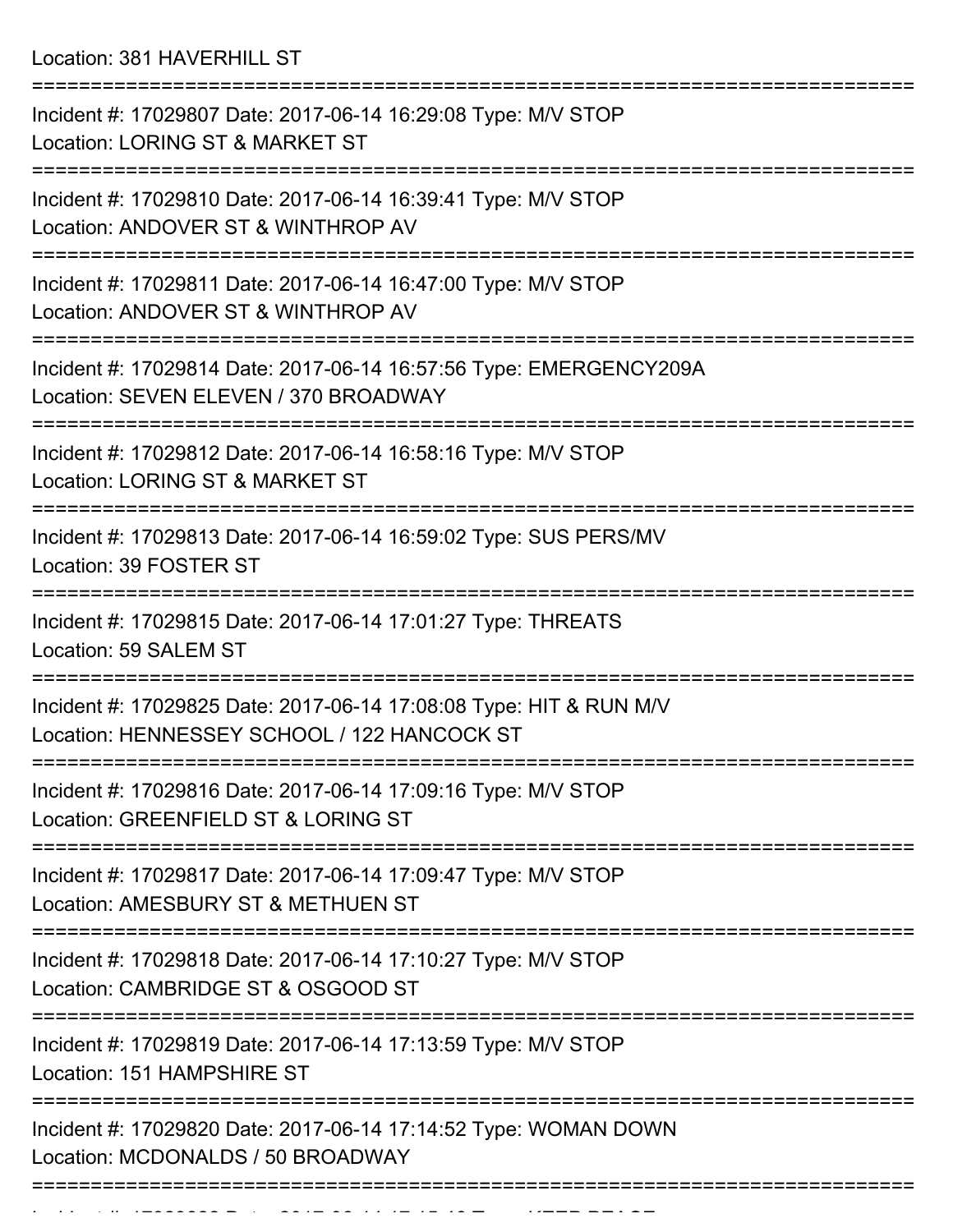Location: 381 HAVERHILL ST

| Incident #: 17029807 Date: 2017-06-14 16:29:08 Type: M/V STOP<br>Location: LORING ST & MARKET ST                  |
|-------------------------------------------------------------------------------------------------------------------|
| Incident #: 17029810 Date: 2017-06-14 16:39:41 Type: M/V STOP<br>Location: ANDOVER ST & WINTHROP AV               |
| Incident #: 17029811 Date: 2017-06-14 16:47:00 Type: M/V STOP<br>Location: ANDOVER ST & WINTHROP AV               |
| Incident #: 17029814 Date: 2017-06-14 16:57:56 Type: EMERGENCY209A<br>Location: SEVEN ELEVEN / 370 BROADWAY       |
| Incident #: 17029812 Date: 2017-06-14 16:58:16 Type: M/V STOP<br>Location: LORING ST & MARKET ST                  |
| Incident #: 17029813 Date: 2017-06-14 16:59:02 Type: SUS PERS/MV<br>Location: 39 FOSTER ST                        |
| Incident #: 17029815 Date: 2017-06-14 17:01:27 Type: THREATS<br>Location: 59 SALEM ST                             |
| Incident #: 17029825 Date: 2017-06-14 17:08:08 Type: HIT & RUN M/V<br>Location: HENNESSEY SCHOOL / 122 HANCOCK ST |
| Incident #: 17029816 Date: 2017-06-14 17:09:16 Type: M/V STOP<br>Location: GREENFIELD ST & LORING ST              |
| Incident #: 17029817 Date: 2017-06-14 17:09:47 Type: M/V STOP<br>Location: AMESBURY ST & METHUEN ST               |
| Incident #: 17029818 Date: 2017-06-14 17:10:27 Type: M/V STOP<br>Location: CAMBRIDGE ST & OSGOOD ST               |
| Incident #: 17029819 Date: 2017-06-14 17:13:59 Type: M/V STOP<br>Location: 151 HAMPSHIRE ST                       |
| Incident #: 17029820 Date: 2017-06-14 17:14:52 Type: WOMAN DOWN<br>Location: MCDONALDS / 50 BROADWAY              |
|                                                                                                                   |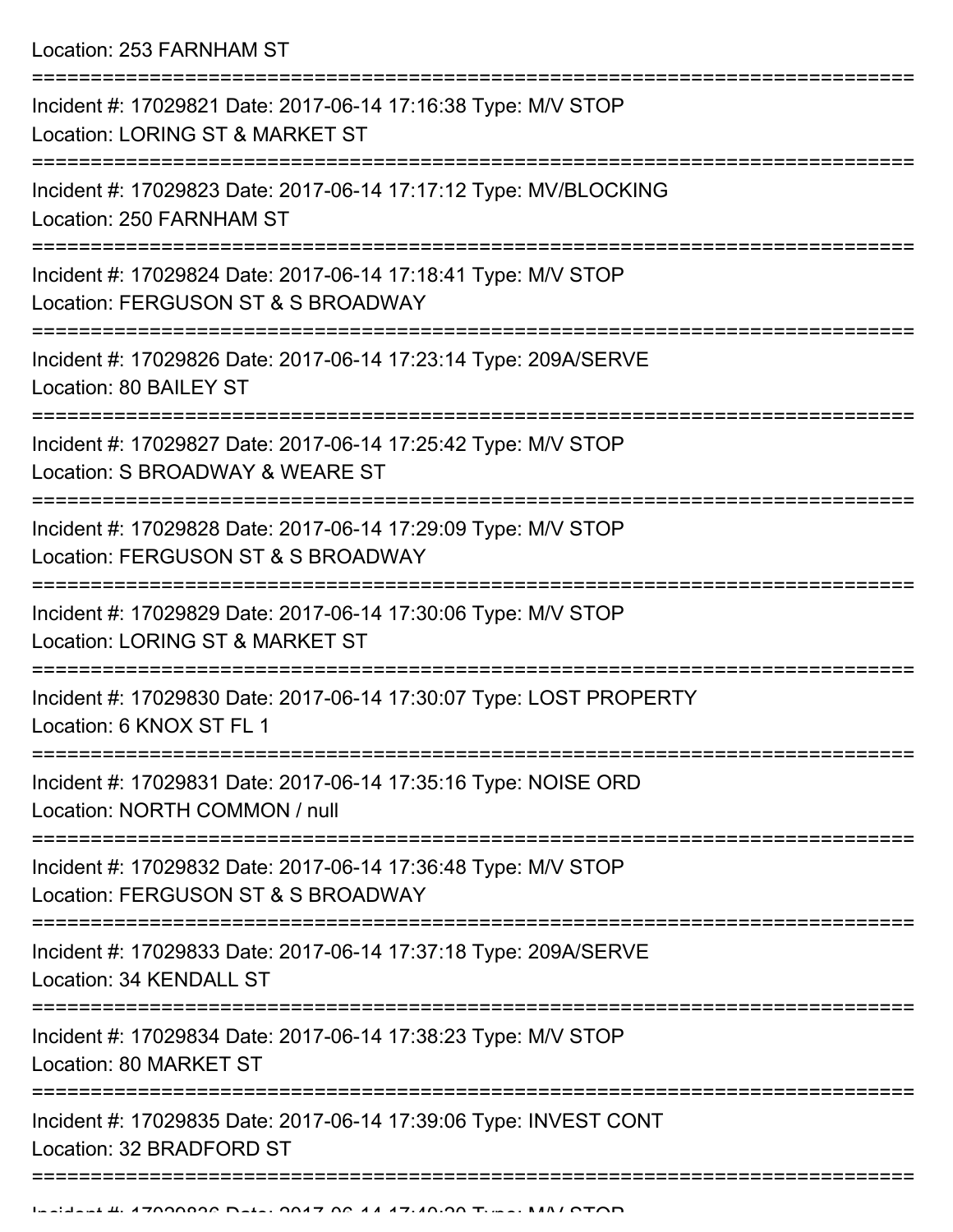Location: 253 FARNHAM ST

| Incident #: 17029821 Date: 2017-06-14 17:16:38 Type: M/V STOP<br>Location: LORING ST & MARKET ST                            |
|-----------------------------------------------------------------------------------------------------------------------------|
| Incident #: 17029823 Date: 2017-06-14 17:17:12 Type: MV/BLOCKING<br>Location: 250 FARNHAM ST                                |
| Incident #: 17029824 Date: 2017-06-14 17:18:41 Type: M/V STOP<br>Location: FERGUSON ST & S BROADWAY                         |
| Incident #: 17029826 Date: 2017-06-14 17:23:14 Type: 209A/SERVE<br>Location: 80 BAILEY ST                                   |
| Incident #: 17029827 Date: 2017-06-14 17:25:42 Type: M/V STOP<br>Location: S BROADWAY & WEARE ST                            |
| Incident #: 17029828 Date: 2017-06-14 17:29:09 Type: M/V STOP<br>Location: FERGUSON ST & S BROADWAY<br>-------------------- |
| Incident #: 17029829 Date: 2017-06-14 17:30:06 Type: M/V STOP<br>Location: LORING ST & MARKET ST                            |
| Incident #: 17029830 Date: 2017-06-14 17:30:07 Type: LOST PROPERTY<br>Location: 6 KNOX ST FL 1                              |
| Incident #: 17029831 Date: 2017-06-14 17:35:16 Type: NOISE ORD<br>Location: NORTH COMMON / null                             |
| Incident #: 17029832 Date: 2017-06-14 17:36:48 Type: M/V STOP<br>Location: FERGUSON ST & S BROADWAY                         |
| Incident #: 17029833 Date: 2017-06-14 17:37:18 Type: 209A/SERVE<br>Location: 34 KENDALL ST                                  |
| Incident #: 17029834 Date: 2017-06-14 17:38:23 Type: M/V STOP<br>Location: 80 MARKET ST                                     |
| Incident #: 17029835 Date: 2017-06-14 17:39:06 Type: INVEST CONT<br>Location: 32 BRADFORD ST                                |
|                                                                                                                             |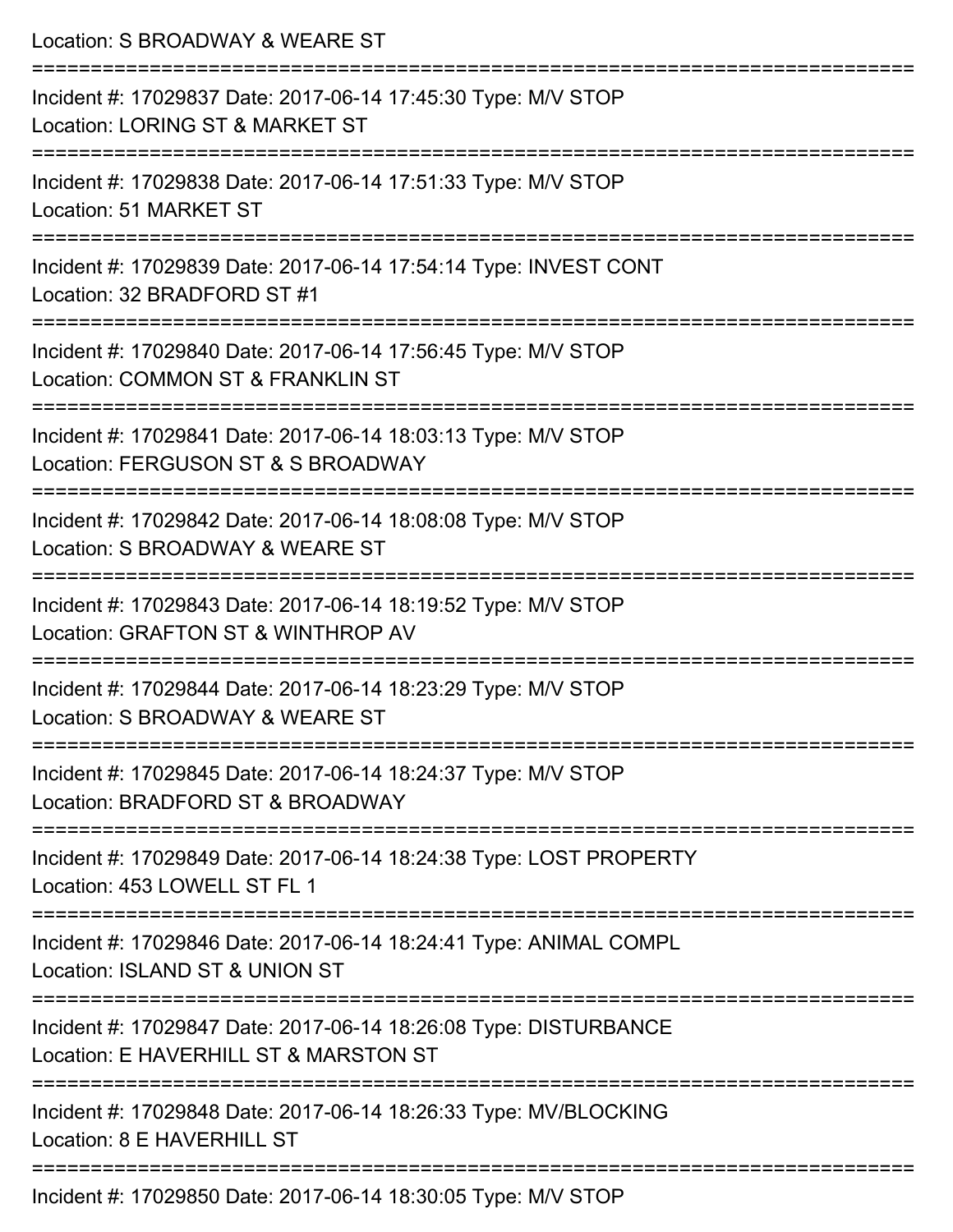| Location: S BROADWAY & WEARE ST                                                                                                |
|--------------------------------------------------------------------------------------------------------------------------------|
| Incident #: 17029837 Date: 2017-06-14 17:45:30 Type: M/V STOP<br>Location: LORING ST & MARKET ST                               |
| :==================================<br>Incident #: 17029838 Date: 2017-06-14 17:51:33 Type: M/V STOP<br>Location: 51 MARKET ST |
| Incident #: 17029839 Date: 2017-06-14 17:54:14 Type: INVEST CONT<br>Location: 32 BRADFORD ST #1                                |
| Incident #: 17029840 Date: 2017-06-14 17:56:45 Type: M/V STOP<br>Location: COMMON ST & FRANKLIN ST                             |
| Incident #: 17029841 Date: 2017-06-14 18:03:13 Type: M/V STOP<br>Location: FERGUSON ST & S BROADWAY                            |
| ======================<br>Incident #: 17029842 Date: 2017-06-14 18:08:08 Type: M/V STOP<br>Location: S BROADWAY & WEARE ST     |
| Incident #: 17029843 Date: 2017-06-14 18:19:52 Type: M/V STOP<br>Location: GRAFTON ST & WINTHROP AV                            |
| Incident #: 17029844 Date: 2017-06-14 18:23:29 Type: M/V STOP<br>Location: S BROADWAY & WEARE ST                               |
| Incident #: 17029845 Date: 2017-06-14 18:24:37 Type: M/V STOP<br>Location: BRADFORD ST & BROADWAY                              |
| Incident #: 17029849 Date: 2017-06-14 18:24:38 Type: LOST PROPERTY<br>Location: 453 LOWELL ST FL 1                             |
| Incident #: 17029846 Date: 2017-06-14 18:24:41 Type: ANIMAL COMPL<br>Location: ISLAND ST & UNION ST                            |
| Incident #: 17029847 Date: 2017-06-14 18:26:08 Type: DISTURBANCE<br>Location: E HAVERHILL ST & MARSTON ST                      |
| Incident #: 17029848 Date: 2017-06-14 18:26:33 Type: MV/BLOCKING<br>Location: 8 E HAVERHILL ST                                 |
| ---------------<br>Incident #: 17029850 Date: 2017-06-14 18:30:05 Type: M/V STOP                                               |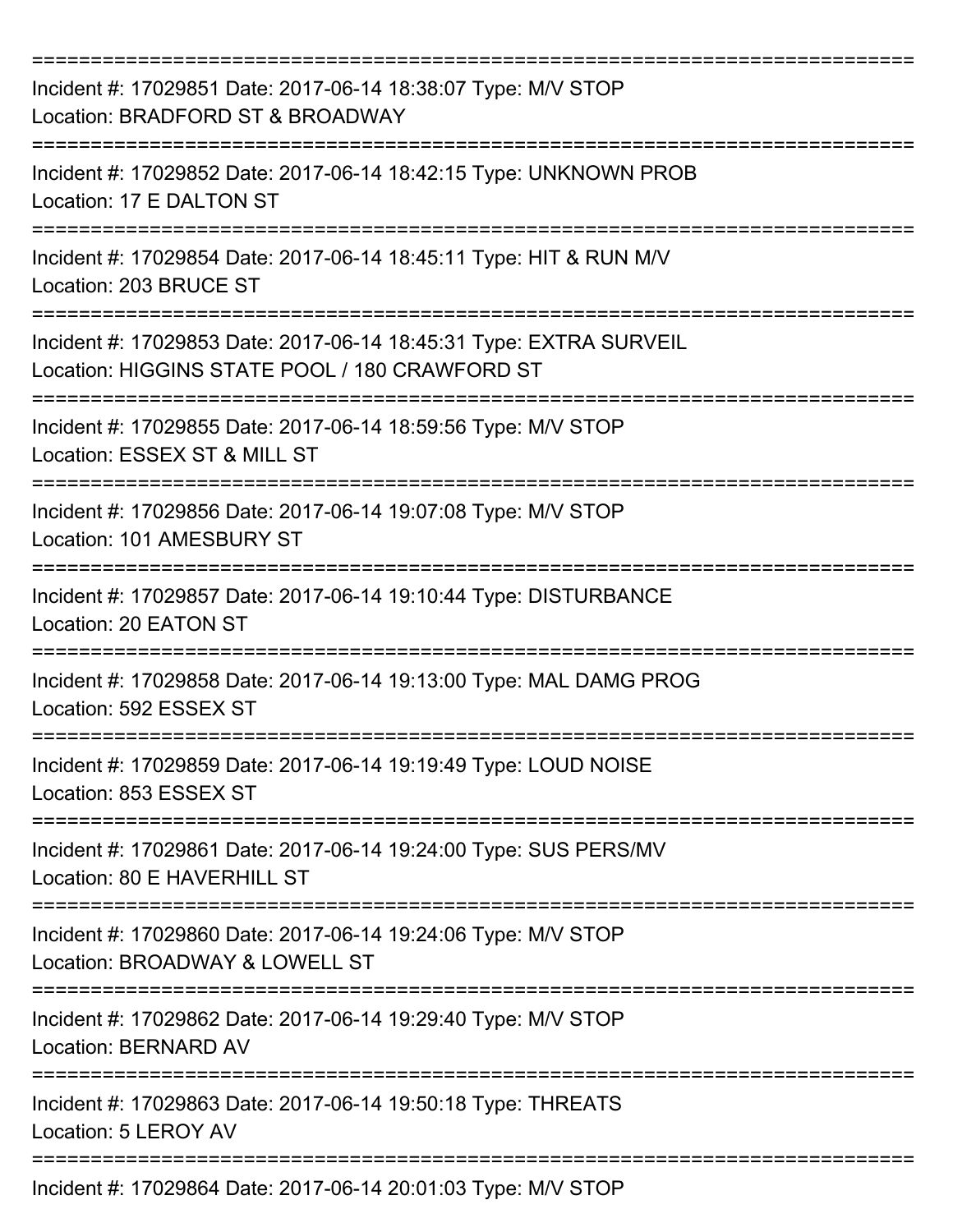| Incident #: 17029851 Date: 2017-06-14 18:38:07 Type: M/V STOP<br>Location: BRADFORD ST & BROADWAY                    |
|----------------------------------------------------------------------------------------------------------------------|
| Incident #: 17029852 Date: 2017-06-14 18:42:15 Type: UNKNOWN PROB<br>Location: 17 E DALTON ST                        |
| Incident #: 17029854 Date: 2017-06-14 18:45:11 Type: HIT & RUN M/V<br>Location: 203 BRUCE ST                         |
| Incident #: 17029853 Date: 2017-06-14 18:45:31 Type: EXTRA SURVEIL<br>Location: HIGGINS STATE POOL / 180 CRAWFORD ST |
| Incident #: 17029855 Date: 2017-06-14 18:59:56 Type: M/V STOP<br>Location: ESSEX ST & MILL ST                        |
| Incident #: 17029856 Date: 2017-06-14 19:07:08 Type: M/V STOP<br>Location: 101 AMESBURY ST                           |
| Incident #: 17029857 Date: 2017-06-14 19:10:44 Type: DISTURBANCE<br>Location: 20 EATON ST                            |
| Incident #: 17029858 Date: 2017-06-14 19:13:00 Type: MAL DAMG PROG<br>Location: 592 ESSEX ST                         |
| Incident #: 17029859 Date: 2017-06-14 19:19:49 Type: LOUD NOISE<br>Location: 853 ESSEX ST                            |
| Incident #: 17029861 Date: 2017-06-14 19:24:00 Type: SUS PERS/MV<br>Location: 80 E HAVERHILL ST                      |
| Incident #: 17029860 Date: 2017-06-14 19:24:06 Type: M/V STOP<br>Location: BROADWAY & LOWELL ST                      |
| Incident #: 17029862 Date: 2017-06-14 19:29:40 Type: M/V STOP<br>Location: BERNARD AV                                |
| Incident #: 17029863 Date: 2017-06-14 19:50:18 Type: THREATS<br>Location: 5 LEROY AV                                 |
| Incident #: 17029864 Date: 2017-06-14 20:01:03 Type: M/V STOP                                                        |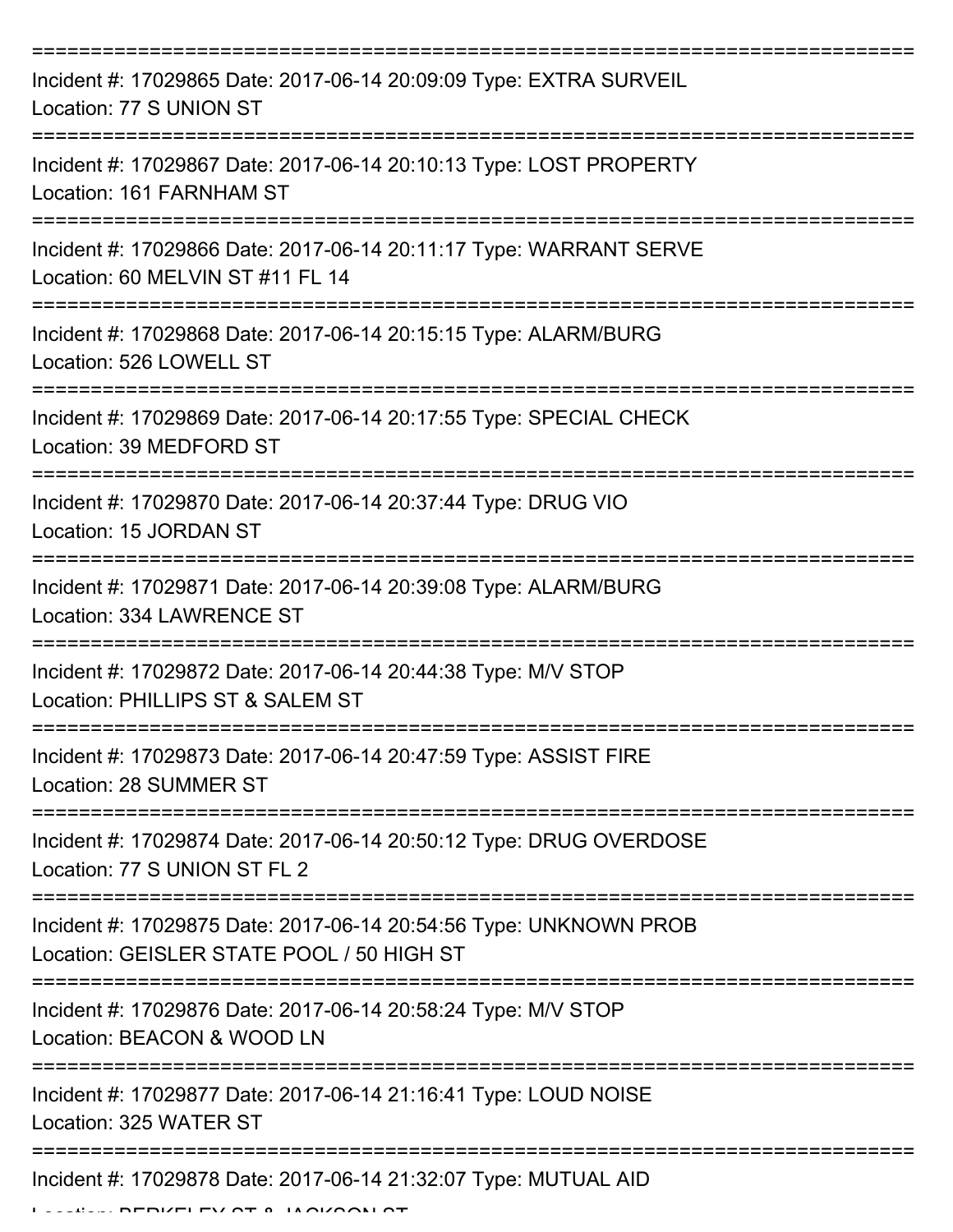| Incident #: 17029865 Date: 2017-06-14 20:09:09 Type: EXTRA SURVEIL<br>Location: 77 S UNION ST                            |
|--------------------------------------------------------------------------------------------------------------------------|
| Incident #: 17029867 Date: 2017-06-14 20:10:13 Type: LOST PROPERTY<br>Location: 161 FARNHAM ST                           |
| Incident #: 17029866 Date: 2017-06-14 20:11:17 Type: WARRANT SERVE<br>Location: 60 MELVIN ST #11 FL 14                   |
| Incident #: 17029868 Date: 2017-06-14 20:15:15 Type: ALARM/BURG<br>Location: 526 LOWELL ST                               |
| Incident #: 17029869 Date: 2017-06-14 20:17:55 Type: SPECIAL CHECK<br>Location: 39 MEDFORD ST                            |
| Incident #: 17029870 Date: 2017-06-14 20:37:44 Type: DRUG VIO<br>Location: 15 JORDAN ST                                  |
| Incident #: 17029871 Date: 2017-06-14 20:39:08 Type: ALARM/BURG<br>Location: 334 LAWRENCE ST                             |
| Incident #: 17029872 Date: 2017-06-14 20:44:38 Type: M/V STOP<br>Location: PHILLIPS ST & SALEM ST                        |
| Incident #: 17029873 Date: 2017-06-14 20:47:59 Type: ASSIST FIRE<br>Location: 28 SUMMER ST                               |
| ==================<br>Incident #: 17029874 Date: 2017-06-14 20:50:12 Type: DRUG OVERDOSE<br>Location: 77 S UNION ST FL 2 |
| Incident #: 17029875 Date: 2017-06-14 20:54:56 Type: UNKNOWN PROB<br>Location: GEISLER STATE POOL / 50 HIGH ST           |
| Incident #: 17029876 Date: 2017-06-14 20:58:24 Type: M/V STOP<br>Location: BEACON & WOOD LN                              |
| Incident #: 17029877 Date: 2017-06-14 21:16:41 Type: LOUD NOISE<br>Location: 325 WATER ST                                |
| Incident #: 17029878 Date: 2017-06-14 21:32:07 Type: MUTUAL AID                                                          |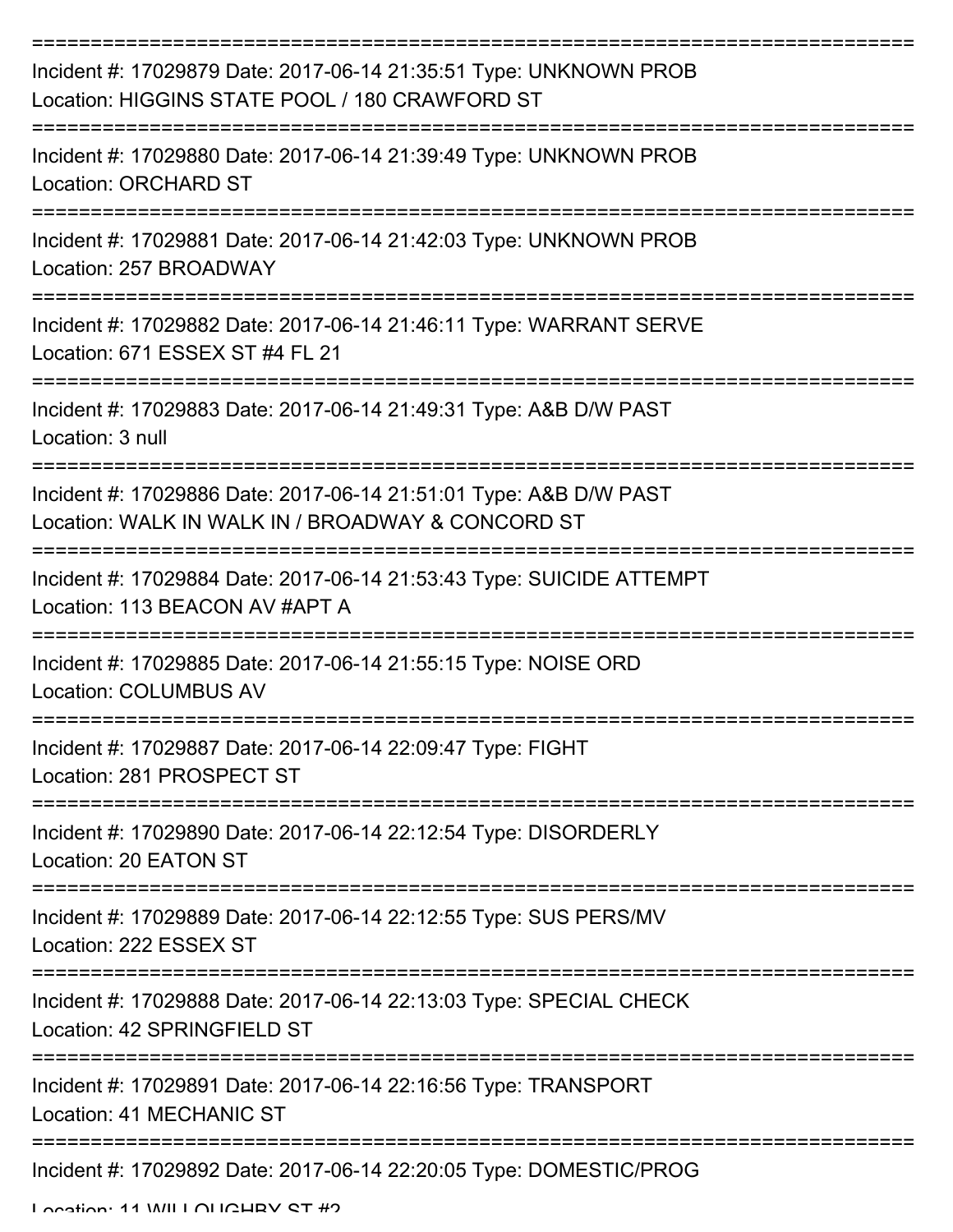| Incident #: 17029879 Date: 2017-06-14 21:35:51 Type: UNKNOWN PROB<br>Location: HIGGINS STATE POOL / 180 CRAWFORD ST    |
|------------------------------------------------------------------------------------------------------------------------|
| Incident #: 17029880 Date: 2017-06-14 21:39:49 Type: UNKNOWN PROB<br><b>Location: ORCHARD ST</b>                       |
| Incident #: 17029881 Date: 2017-06-14 21:42:03 Type: UNKNOWN PROB<br>Location: 257 BROADWAY                            |
| Incident #: 17029882 Date: 2017-06-14 21:46:11 Type: WARRANT SERVE<br>Location: 671 ESSEX ST #4 FL 21                  |
| Incident #: 17029883 Date: 2017-06-14 21:49:31 Type: A&B D/W PAST<br>Location: 3 null                                  |
| Incident #: 17029886 Date: 2017-06-14 21:51:01 Type: A&B D/W PAST<br>Location: WALK IN WALK IN / BROADWAY & CONCORD ST |
| Incident #: 17029884 Date: 2017-06-14 21:53:43 Type: SUICIDE ATTEMPT<br>Location: 113 BEACON AV #APT A                 |
| Incident #: 17029885 Date: 2017-06-14 21:55:15 Type: NOISE ORD<br><b>Location: COLUMBUS AV</b>                         |
| Incident #: 17029887 Date: 2017-06-14 22:09:47 Type: FIGHT<br>Location: 281 PROSPECT ST                                |
| Incident #: 17029890 Date: 2017-06-14 22:12:54 Type: DISORDERLY<br>Location: 20 EATON ST                               |
| Incident #: 17029889 Date: 2017-06-14 22:12:55 Type: SUS PERS/MV<br>Location: 222 ESSEX ST                             |
| Incident #: 17029888 Date: 2017-06-14 22:13:03 Type: SPECIAL CHECK<br>Location: 42 SPRINGFIELD ST                      |
| Incident #: 17029891 Date: 2017-06-14 22:16:56 Type: TRANSPORT<br>Location: 41 MECHANIC ST                             |
| Incident #: 17029892 Date: 2017-06-14 22:20:05 Type: DOMESTIC/PROG                                                     |

Location: 11 WILLOUGHBY ST #2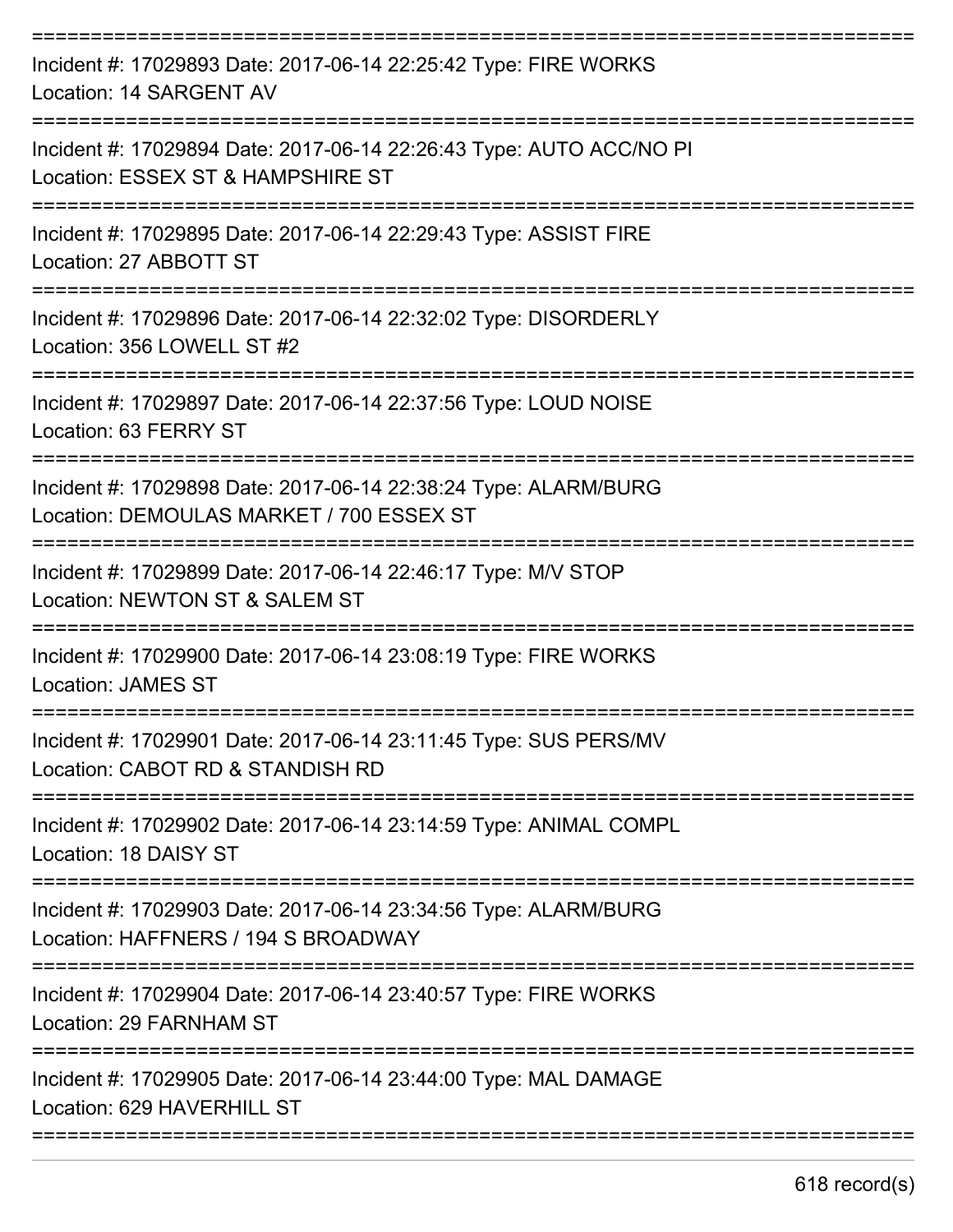| Incident #: 17029893 Date: 2017-06-14 22:25:42 Type: FIRE WORKS<br>Location: 14 SARGENT AV                                                     |
|------------------------------------------------------------------------------------------------------------------------------------------------|
| Incident #: 17029894 Date: 2017-06-14 22:26:43 Type: AUTO ACC/NO PI<br>Location: ESSEX ST & HAMPSHIRE ST                                       |
| Incident #: 17029895 Date: 2017-06-14 22:29:43 Type: ASSIST FIRE<br>Location: 27 ABBOTT ST                                                     |
| Incident #: 17029896 Date: 2017-06-14 22:32:02 Type: DISORDERLY<br>Location: 356 LOWELL ST #2                                                  |
| Incident #: 17029897 Date: 2017-06-14 22:37:56 Type: LOUD NOISE<br>Location: 63 FERRY ST                                                       |
| Incident #: 17029898 Date: 2017-06-14 22:38:24 Type: ALARM/BURG<br>Location: DEMOULAS MARKET / 700 ESSEX ST                                    |
| Incident #: 17029899 Date: 2017-06-14 22:46:17 Type: M/V STOP<br>Location: NEWTON ST & SALEM ST                                                |
| Incident #: 17029900 Date: 2017-06-14 23:08:19 Type: FIRE WORKS<br>Location: JAMES ST                                                          |
| Incident #: 17029901 Date: 2017-06-14 23:11:45 Type: SUS PERS/MV<br>Location: CABOT RD & STANDISH RD                                           |
| ----------------------------<br>Incident #: 17029902 Date: 2017-06-14 23:14:59 Type: ANIMAL COMPL<br>Location: 18 DAISY ST                     |
| ------------------------------------<br>Incident #: 17029903 Date: 2017-06-14 23:34:56 Type: ALARM/BURG<br>Location: HAFFNERS / 194 S BROADWAY |
| Incident #: 17029904 Date: 2017-06-14 23:40:57 Type: FIRE WORKS<br>Location: 29 FARNHAM ST                                                     |
| Incident #: 17029905 Date: 2017-06-14 23:44:00 Type: MAL DAMAGE<br>Location: 629 HAVERHILL ST                                                  |
|                                                                                                                                                |